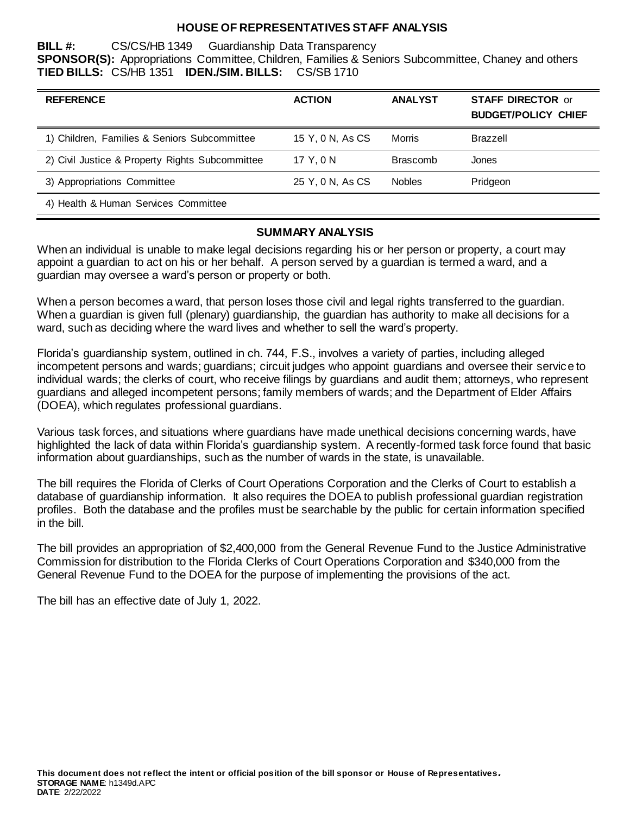## **HOUSE OF REPRESENTATIVES STAFF ANALYSIS**

**BILL #:** CS/CS/HB 1349 Guardianship Data Transparency **SPONSOR(S):** Appropriations Committee, Children, Families & Seniors Subcommittee, Chaney and others **TIED BILLS:** CS/HB 1351 **IDEN./SIM. BILLS:** CS/SB 1710

| <b>REFERENCE</b>                                | <b>ACTION</b>    | <b>ANALYST</b>  | <b>STAFF DIRECTOR or</b><br><b>BUDGET/POLICY CHIEF</b> |
|-------------------------------------------------|------------------|-----------------|--------------------------------------------------------|
| 1) Children, Families & Seniors Subcommittee    | 15 Y, 0 N, As CS | Morris          | <b>Brazzell</b>                                        |
| 2) Civil Justice & Property Rights Subcommittee | 17 Y.ON          | <b>Brascomb</b> | Jones                                                  |
| 3) Appropriations Committee                     | 25 Y, 0 N, As CS | <b>Nobles</b>   | Pridgeon                                               |
| 4) Health & Human Services Committee            |                  |                 |                                                        |

## **SUMMARY ANALYSIS**

When an individual is unable to make legal decisions regarding his or her person or property, a court may appoint a guardian to act on his or her behalf. A person served by a guardian is termed a ward, and a guardian may oversee a ward's person or property or both.

When a person becomes a ward, that person loses those civil and legal rights transferred to the guardian. When a guardian is given full (plenary) guardianship, the guardian has authority to make all decisions for a ward, such as deciding where the ward lives and whether to sell the ward's property.

Florida's guardianship system, outlined in ch. 744, F.S., involves a variety of parties, including alleged incompetent persons and wards; guardians; circuit judges who appoint guardians and oversee their service to individual wards; the clerks of court, who receive filings by guardians and audit them; attorneys, who represent guardians and alleged incompetent persons; family members of wards; and the Department of Elder Affairs (DOEA), which regulates professional guardians.

Various task forces, and situations where guardians have made unethical decisions concerning wards, have highlighted the lack of data within Florida's guardianship system. A recently-formed task force found that basic information about guardianships, such as the number of wards in the state, is unavailable.

The bill requires the Florida of Clerks of Court Operations Corporation and the Clerks of Court to establish a database of guardianship information. It also requires the DOEA to publish professional guardian registration profiles. Both the database and the profiles must be searchable by the public for certain information specified in the bill.

The bill provides an appropriation of \$2,400,000 from the General Revenue Fund to the Justice Administrative Commission for distribution to the Florida Clerks of Court Operations Corporation and \$340,000 from the General Revenue Fund to the DOEA for the purpose of implementing the provisions of the act.

The bill has an effective date of July 1, 2022.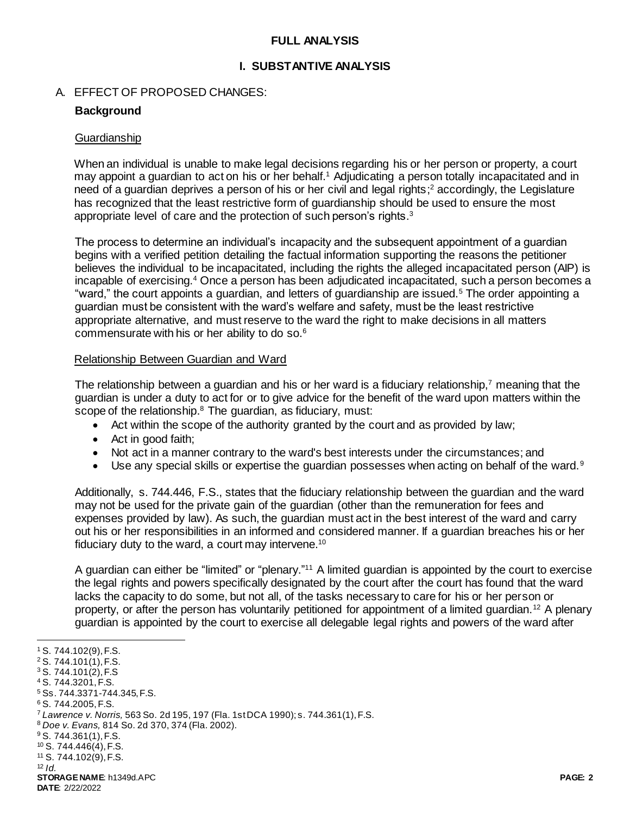## **FULL ANALYSIS**

#### **I. SUBSTANTIVE ANALYSIS**

#### A. EFFECT OF PROPOSED CHANGES:

## **Background**

#### **Guardianship**

When an individual is unable to make legal decisions regarding his or her person or property, a court may appoint a guardian to act on his or her behalf.<sup>1</sup> Adjudicating a person totally incapacitated and in need of a guardian deprives a person of his or her civil and legal rights; <sup>2</sup> accordingly, the Legislature has recognized that the least restrictive form of guardianship should be used to ensure the most appropriate level of care and the protection of such person's rights.<sup>3</sup>

The process to determine an individual's incapacity and the subsequent appointment of a guardian begins with a verified petition detailing the factual information supporting the reasons the petitioner believes the individual to be incapacitated, including the rights the alleged incapacitated person (AIP) is incapable of exercising.<sup>4</sup> Once a person has been adjudicated incapacitated, such a person becomes a "ward," the court appoints a guardian, and letters of guardianship are issued.<sup>5</sup> The order appointing a guardian must be consistent with the ward's welfare and safety, must be the least restrictive appropriate alternative, and must reserve to the ward the right to make decisions in all matters commensurate with his or her ability to do so.<sup>6</sup>

#### Relationship Between Guardian and Ward

The relationship between a guardian and his or her ward is a fiduciary relationship,<sup>7</sup> meaning that the guardian is under a duty to act for or to give advice for the benefit of the ward upon matters within the scope of the relationship.<sup>8</sup> The guardian, as fiduciary, must:

- Act within the scope of the authority granted by the court and as provided by law;
- Act in good faith;
- Not act in a manner contrary to the ward's best interests under the circumstances; and
- Use any special skills or expertise the guardian possesses when acting on behalf of the ward.<sup>9</sup>

Additionally, s. 744.446, F.S., states that the fiduciary relationship between the guardian and the ward may not be used for the private gain of the guardian (other than the remuneration for fees and expenses provided by law). As such, the guardian must act in the best interest of the ward and carry out his or her responsibilities in an informed and considered manner. If a guardian breaches his or her fiduciary duty to the ward, a court may intervene.<sup>10</sup>

A guardian can either be "limited" or "plenary."<sup>11</sup> A limited guardian is appointed by the court to exercise the legal rights and powers specifically designated by the court after the court has found that the ward lacks the capacity to do some, but not all, of the tasks necessary to care for his or her person or property, or after the person has voluntarily petitioned for appointment of a limited guardian.<sup>12</sup> A plenary guardian is appointed by the court to exercise all delegable legal rights and powers of the ward after

l

<sup>1</sup> S. 744.102(9), F.S.

<sup>2</sup> S. 744.101(1), F.S.

<sup>3</sup> S. 744.101(2), F.S

<sup>4</sup> S. 744.3201, F.S.

<sup>5</sup> Ss. 744.3371-744.345, F.S.

<sup>6</sup> S. 744.2005, F.S.

<sup>7</sup> *Lawrence v. Norris,* 563 So. 2d 195, 197 (Fla. 1st DCA 1990); s. 744.361(1), F.S.

<sup>8</sup> *Doe v. Evans,* 814 So. 2d 370, 374 (Fla. 2002).

<sup>9</sup> S. 744.361(1), F.S.

<sup>10</sup> S. 744.446(4), F.S. <sup>11</sup> S. 744.102(9), F.S.

 $12$  *Id.* 

**STORAGE NAME**: h1349d.APC **PAGE: 2 DATE**: 2/22/2022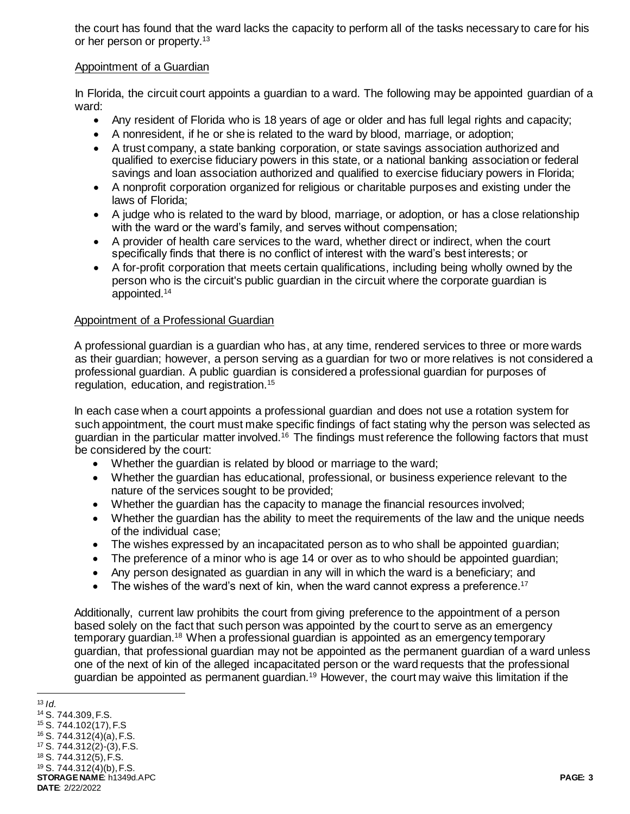the court has found that the ward lacks the capacity to perform all of the tasks necessary to care for his or her person or property.<sup>13</sup>

## Appointment of a Guardian

In Florida, the circuit court appoints a guardian to a ward. The following may be appointed guardian of a ward:

- Any resident of Florida who is 18 years of age or older and has full legal rights and capacity;
- A nonresident, if he or she is related to the ward by blood, marriage, or adoption;
- A trust company, a state banking corporation, or state savings association authorized and qualified to exercise fiduciary powers in this state, or a national banking association or federal savings and loan association authorized and qualified to exercise fiduciary powers in Florida;
- A nonprofit corporation organized for religious or charitable purposes and existing under the laws of Florida;
- A judge who is related to the ward by blood, marriage, or adoption, or has a close relationship with the ward or the ward's family, and serves without compensation;
- A provider of health care services to the ward, whether direct or indirect, when the court specifically finds that there is no conflict of interest with the ward's best interests; or
- A for-profit corporation that meets certain qualifications, including being wholly owned by the person who is the circuit's public guardian in the circuit where the corporate guardian is appointed.<sup>14</sup>

## Appointment of a Professional Guardian

A professional guardian is a guardian who has, at any time, rendered services to three or more wards as their guardian; however, a person serving as a guardian for two or more relatives is not considered a professional guardian. A public guardian is considered a professional guardian for purposes of regulation, education, and registration.<sup>15</sup>

In each case when a court appoints a professional guardian and does not use a rotation system for such appointment, the court must make specific findings of fact stating why the person was selected as guardian in the particular matter involved.<sup>16</sup> The findings must reference the following factors that must be considered by the court:

- Whether the guardian is related by blood or marriage to the ward;
- Whether the guardian has educational, professional, or business experience relevant to the nature of the services sought to be provided;
- Whether the guardian has the capacity to manage the financial resources involved;
- Whether the guardian has the ability to meet the requirements of the law and the unique needs of the individual case;
- The wishes expressed by an incapacitated person as to who shall be appointed guardian;
- The preference of a minor who is age 14 or over as to who should be appointed guardian;
- Any person designated as guardian in any will in which the ward is a beneficiary; and
- The wishes of the ward's next of kin, when the ward cannot express a preference.<sup>17</sup>

Additionally, current law prohibits the court from giving preference to the appointment of a person based solely on the fact that such person was appointed by the court to serve as an emergency temporary guardian.<sup>18</sup> When a professional guardian is appointed as an emergency temporary guardian, that professional guardian may not be appointed as the permanent guardian of a ward unless one of the next of kin of the alleged incapacitated person or the ward requests that the professional guardian be appointed as permanent guardian.<sup>19</sup> However, the court may waive this limitation if the

**STORAGE NAME**: h1349d.APC **PAGE: 3 DATE**: 2/22/2022  $13$  *Id.*  S. 744.309, F.S. S. 744.102(17), F.S S. 744.312(4)(a), F.S. S. 744.312(2)-(3), F.S. S. 744.312(5), F.S. S. 744.312(4)(b), F.S.

l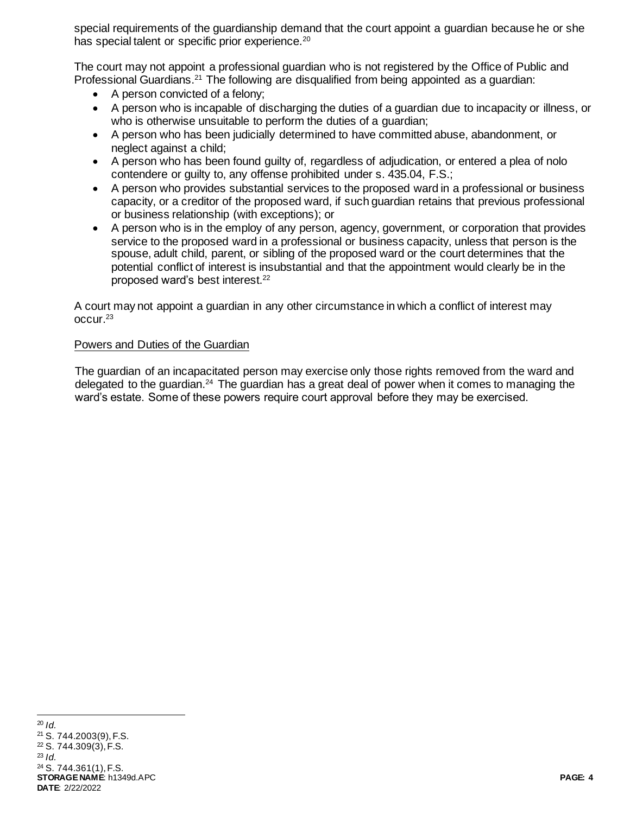special requirements of the guardianship demand that the court appoint a guardian because he or she has special talent or specific prior experience.<sup>20</sup>

The court may not appoint a professional guardian who is not registered by the Office of Public and Professional Guardians.<sup>21</sup> The following are disqualified from being appointed as a quardian:

- A person convicted of a felony;
- A person who is incapable of discharging the duties of a guardian due to incapacity or illness, or who is otherwise unsuitable to perform the duties of a guardian;
- A person who has been judicially determined to have committed abuse, abandonment, or neglect against a child;
- A person who has been found guilty of, regardless of adjudication, or entered a plea of nolo contendere or guilty to, any offense prohibited under s. 435.04, F.S.;
- A person who provides substantial services to the proposed ward in a professional or business capacity, or a creditor of the proposed ward, if such guardian retains that previous professional or business relationship (with exceptions); or
- A person who is in the employ of any person, agency, government, or corporation that provides service to the proposed ward in a professional or business capacity, unless that person is the spouse, adult child, parent, or sibling of the proposed ward or the court determines that the potential conflict of interest is insubstantial and that the appointment would clearly be in the proposed ward's best interest.<sup>22</sup>

A court may not appoint a guardian in any other circumstance in which a conflict of interest may occur.<sup>23</sup>

## Powers and Duties of the Guardian

The guardian of an incapacitated person may exercise only those rights removed from the ward and delegated to the guardian.<sup>24</sup> The guardian has a great deal of power when it comes to managing the ward's estate. Some of these powers require court approval before they may be exercised.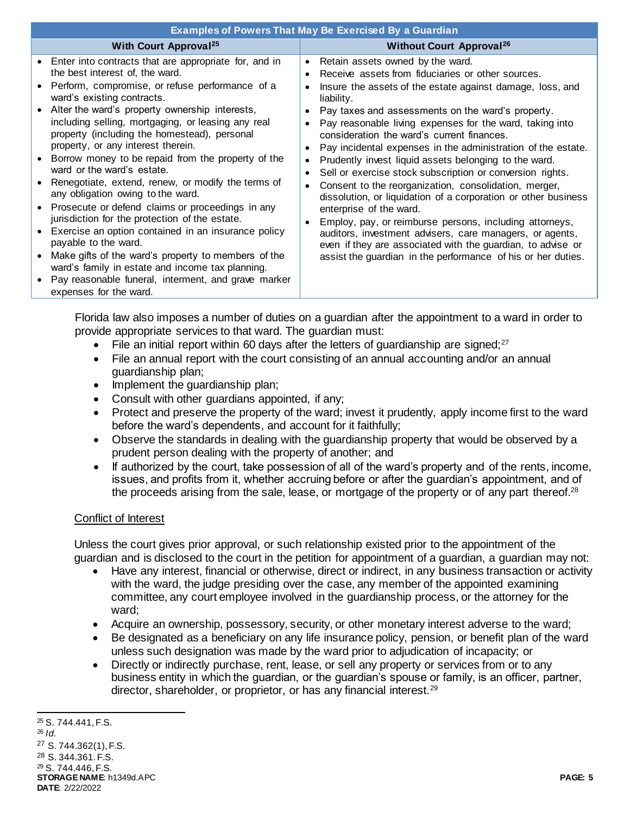| <b>Examples of Powers That May Be Exercised By a Guardian</b>                                                                                                                                                                                                                                                                                                                                                                                                                                                                                                                                                                                                                                                                                                                                                                                                                                                                           |                                                                                                                                                                                                                                                                                                                                                                                                                                                                                                                                                                                                                                                                                                                                                                                                                                                                                                                                                                          |  |  |
|-----------------------------------------------------------------------------------------------------------------------------------------------------------------------------------------------------------------------------------------------------------------------------------------------------------------------------------------------------------------------------------------------------------------------------------------------------------------------------------------------------------------------------------------------------------------------------------------------------------------------------------------------------------------------------------------------------------------------------------------------------------------------------------------------------------------------------------------------------------------------------------------------------------------------------------------|--------------------------------------------------------------------------------------------------------------------------------------------------------------------------------------------------------------------------------------------------------------------------------------------------------------------------------------------------------------------------------------------------------------------------------------------------------------------------------------------------------------------------------------------------------------------------------------------------------------------------------------------------------------------------------------------------------------------------------------------------------------------------------------------------------------------------------------------------------------------------------------------------------------------------------------------------------------------------|--|--|
| <b>With Court Approval<sup>25</sup></b>                                                                                                                                                                                                                                                                                                                                                                                                                                                                                                                                                                                                                                                                                                                                                                                                                                                                                                 | <b>Without Court Approval<sup>26</sup></b>                                                                                                                                                                                                                                                                                                                                                                                                                                                                                                                                                                                                                                                                                                                                                                                                                                                                                                                               |  |  |
| Enter into contracts that are appropriate for, and in<br>the best interest of, the ward.<br>Perform, compromise, or refuse performance of a<br>ward's existing contracts.<br>Alter the ward's property ownership interests,<br>including selling, mortgaging, or leasing any real<br>property (including the homestead), personal<br>property, or any interest therein.<br>Borrow money to be repaid from the property of the<br>ward or the ward's estate.<br>Renegotiate, extend, renew, or modify the terms of<br>any obligation owing to the ward.<br>Prosecute or defend claims or proceedings in any<br>jurisdiction for the protection of the estate.<br>Exercise an option contained in an insurance policy<br>payable to the ward.<br>Make gifts of the ward's property to members of the<br>ward's family in estate and income tax planning.<br>Pay reasonable funeral, interment, and grave marker<br>expenses for the ward. | Retain assets owned by the ward.<br>$\bullet$<br>Receive assets from fiduciaries or other sources.<br>Insure the assets of the estate against damage, loss, and<br>liability.<br>Pay taxes and assessments on the ward's property.<br>Pay reasonable living expenses for the ward, taking into<br>consideration the ward's current finances.<br>Pay incidental expenses in the administration of the estate.<br>$\bullet$<br>Prudently invest liquid assets belonging to the ward.<br>Sell or exercise stock subscription or conversion rights.<br>$\bullet$<br>Consent to the reorganization, consolidation, merger,<br>dissolution, or liquidation of a corporation or other business<br>enterprise of the ward.<br>Employ, pay, or reimburse persons, including attorneys,<br>auditors, investment advisers, care managers, or agents,<br>even if they are associated with the guardian, to advise or<br>assist the guardian in the performance of his or her duties. |  |  |

Florida law also imposes a number of duties on a guardian after the appointment to a ward in order to provide appropriate services to that ward. The guardian must:

- File an initial report within 60 days after the letters of quardianship are signed; $27$
- File an annual report with the court consisting of an annual accounting and/or an annual guardianship plan;
- Implement the guardianship plan;
- Consult with other quardians appointed, if any;
- Protect and preserve the property of the ward; invest it prudently, apply income first to the ward before the ward's dependents, and account for it faithfully;
- Observe the standards in dealing with the guardianship property that would be observed by a prudent person dealing with the property of another; and
- If authorized by the court, take possession of all of the ward's property and of the rents, income, issues, and profits from it, whether accruing before or after the guardian's appointment, and of the proceeds arising from the sale, lease, or mortgage of the property or of any part thereof.<sup>28</sup>

#### Conflict of Interest

Unless the court gives prior approval, or such relationship existed prior to the appointment of the guardian and is disclosed to the court in the petition for appointment of a guardian, a guardian may not:

- Have any interest, financial or otherwise, direct or indirect, in any business transaction or activity with the ward, the judge presiding over the case, any member of the appointed examining committee, any court employee involved in the guardianship process, or the attorney for the ward;
- Acquire an ownership, possessory, security, or other monetary interest adverse to the ward;
- Be designated as a beneficiary on any life insurance policy, pension, or benefit plan of the ward unless such designation was made by the ward prior to adjudication of incapacity; or
- Directly or indirectly purchase, rent, lease, or sell any property or services from or to any business entity in which the guardian, or the guardian's spouse or family, is an officer, partner, director, shareholder, or proprietor, or has any financial interest.<sup>29</sup>

**STORAGE NAME**: h1349d.APC **PAGE: 5 DATE**: 2/22/2022 l <sup>25</sup> S. 744.441, F.S. <sup>26</sup> *Id.* <sup>27</sup> S. 744.362(1), F.S. <sup>28</sup> S. 344.361. F.S. <sup>29</sup> S. 744.446, F.S.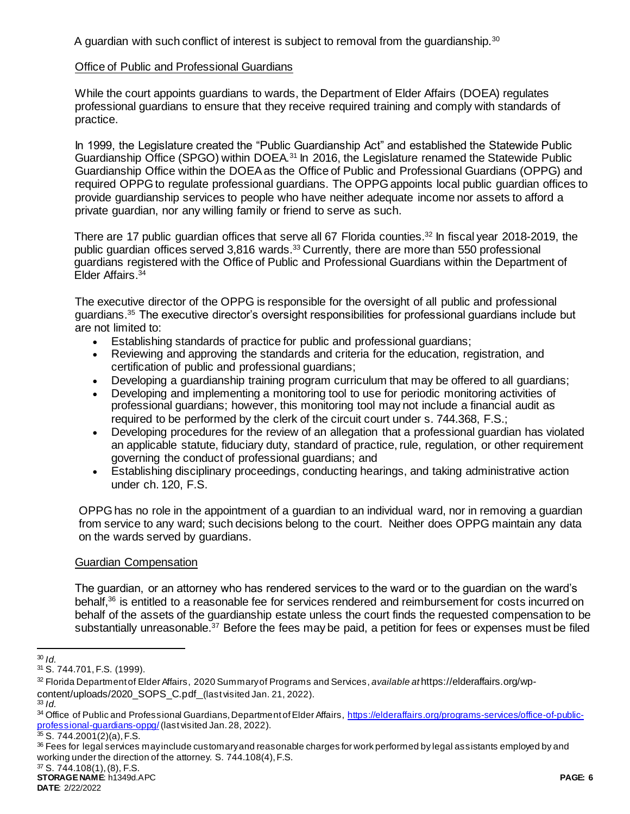A guardian with such conflict of interest is subject to removal from the quardianship. $30$ 

## Office of Public and Professional Guardians

While the court appoints guardians to wards, the Department of Elder Affairs (DOEA) regulates professional guardians to ensure that they receive required training and comply with standards of practice.

In 1999, the Legislature created the "Public Guardianship Act" and established the Statewide Public Guardianship Office (SPGO) within DOEA.<sup>31</sup> In 2016, the Legislature renamed the Statewide Public Guardianship Office within the DOEA as the Office of Public and Professional Guardians (OPPG) and required OPPG to regulate professional guardians. The OPPG appoints local public guardian offices to provide guardianship services to people who have neither adequate income nor assets to afford a private guardian, nor any willing family or friend to serve as such.

There are 17 public guardian offices that serve all 67 Florida counties.<sup>32</sup> In fiscal year 2018-2019, the public guardian offices served 3,816 wards.<sup>33</sup> Currently, there are more than 550 professional guardians registered with the Office of Public and Professional Guardians within the Department of Elder Affairs.<sup>34</sup>

The executive director of the OPPG is responsible for the oversight of all public and professional guardians.<sup>35</sup> The executive director's oversight responsibilities for professional guardians include but are not limited to:

- Establishing standards of practice for public and professional guardians;
- Reviewing and approving the standards and criteria for the education, registration, and certification of public and professional guardians;
- Developing a guardianship training program curriculum that may be offered to all guardians;
- Developing and implementing a monitoring tool to use for periodic monitoring activities of professional guardians; however, this monitoring tool may not include a financial audit as required to be performed by the clerk of the circuit court under s. 744.368, F.S.;
- Developing procedures for the review of an allegation that a professional guardian has violated an applicable statute, fiduciary duty, standard of practice, rule, regulation, or other requirement governing the conduct of professional guardians; and
- Establishing disciplinary proceedings, conducting hearings, and taking administrative action under ch. 120, F.S.

OPPG has no role in the appointment of a guardian to an individual ward, nor in removing a guardian from service to any ward; such decisions belong to the court. Neither does OPPG maintain any data on the wards served by guardians.

## Guardian Compensation

The guardian, or an attorney who has rendered services to the ward or to the guardian on the ward's behalf,<sup>36</sup> is entitled to a reasonable fee for services rendered and reimbursement for costs incurred on behalf of the assets of the guardianship estate unless the court finds the requested compensation to be substantially unreasonable.<sup>37</sup> Before the fees may be paid, a petition for fees or expenses must be filed

<sup>33</sup> *Id.*

l <sup>30</sup> *Id.*

<sup>31</sup> S. 744.701, F.S. (1999).

<sup>32</sup> Florida Department of Elder Affairs, 2020 Summary of Programs and Services, *available at* https://elderaffairs.org/wpcontent/uploads/2020\_SOPS\_C.pdf (last visited Jan. 21, 2022).

<sup>34</sup> Office of Public and Professional Guardians, Department of Elder Affairs, [https://elderaffairs.org/programs-services/office-of-public](https://elderaffairs.org/programs-services/office-of-public-professional-guardians-oppg/)[professional-guardians-oppg/](https://elderaffairs.org/programs-services/office-of-public-professional-guardians-oppg/)(last visited Jan. 28, 2022).

 $35 S. 744.2001(2)(a)$ , F.S.

<sup>&</sup>lt;sup>36</sup> Fees for legal services may include customary and reasonable charges for work performed by legal assistants employed by and working under the direction of the attorney. S. 744.108(4), F.S.

**STORAGE NAME**: h1349d.APC **PAGE: 6** <sup>37</sup> S. 744.108(1), (8), F.S.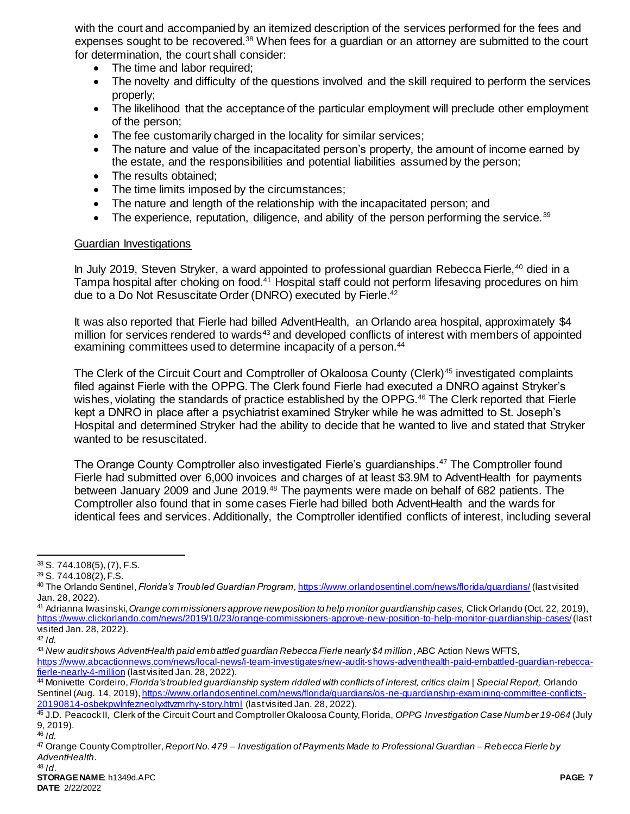with the court and accompanied by an itemized description of the services performed for the fees and expenses sought to be recovered.<sup>38</sup> When fees for a guardian or an attorney are submitted to the court for determination, the court shall consider:

- The time and labor required;
- The novelty and difficulty of the questions involved and the skill required to perform the services properly;
- The likelihood that the acceptance of the particular employment will preclude other employment of the person;
- The fee customarily charged in the locality for similar services;
- The nature and value of the incapacitated person's property, the amount of income earned by the estate, and the responsibilities and potential liabilities assumed by the person;
- The results obtained;
- The time limits imposed by the circumstances;
- The nature and length of the relationship with the incapacitated person; and
- $\bullet$  The experience, reputation, diligence, and ability of the person performing the service.<sup>39</sup>

#### Guardian Investigations

In July 2019, Steven Stryker, a ward appointed to professional guardian Rebecca Fierle,<sup>40</sup> died in a Tampa hospital after choking on food.<sup>41</sup> Hospital staff could not perform lifesaving procedures on him due to a Do Not Resuscitate Order (DNRO) executed by Fierle.<sup>42</sup>

It was also reported that Fierle had billed AdventHealth, an Orlando area hospital, approximately \$4 million for services rendered to wards<sup>43</sup> and developed conflicts of interest with members of appointed examining committees used to determine incapacity of a person.<sup>44</sup>

The Clerk of the Circuit Court and Comptroller of Okaloosa County (Clerk)<sup>45</sup> investigated complaints filed against Fierle with the OPPG. The Clerk found Fierle had executed a DNRO against Stryker's wishes, violating the standards of practice established by the OPPG.<sup>46</sup> The Clerk reported that Fierle kept a DNRO in place after a psychiatrist examined Stryker while he was admitted to St. Joseph's Hospital and determined Stryker had the ability to decide that he wanted to live and stated that Stryker wanted to be resuscitated.

The Orange County Comptroller also investigated Fierle's guardianships.<sup>47</sup> The Comptroller found Fierle had submitted over 6,000 invoices and charges of at least \$3.9M to AdventHealth for payments between January 2009 and June 2019.<sup>48</sup> The payments were made on behalf of 682 patients. The Comptroller also found that in some cases Fierle had billed both AdventHealth and the wards for identical fees and services. Additionally, the Comptroller identified conflicts of interest, including several

 $\overline{a}$ 

<sup>38</sup> S. 744.108(5), (7), F.S.

<sup>39</sup> S. 744.108(2), F.S.

<sup>40</sup> The Orlando Sentinel, *Florida's Troubled Guardian Program,* <https://www.orlandosentinel.com/news/florida/guardians/> (last visited Jan. 28, 2022).

<sup>41</sup> Adrianna Iwasinski, *Orange commissioners approve new position to help monitor guardianship cases,* Click Orlando (Oct. 22, 2019), <https://www.clickorlando.com/news/2019/10/23/orange-commissioners-approve-new-position-to-help-monitor-guardianship-cases/>(last visited Jan. 28, 2022).

<sup>42</sup> *Id.*

<sup>43</sup> *New audit shows AdventHealth paid embattled guardian Rebecca Fierle nearly \$4 million*, ABC Action News WFTS, [https://www.abcactionnews.com/news/local-news/i-team-investigates/new-audit-shows-adventhealth-paid-embattled-guardian-rebecca](https://www.abcactionnews.com/news/local-news/i-team-investigates/new-audit-shows-adventhealth-paid-embattled-guardian-rebecca-fierle-nearly-4-million)[fierle-nearly-4-million](https://www.abcactionnews.com/news/local-news/i-team-investigates/new-audit-shows-adventhealth-paid-embattled-guardian-rebecca-fierle-nearly-4-million) (last visited Jan. 28, 2022).

<sup>44</sup> Monivette Cordeiro, *Florida's troubled guardianship system riddled with conflicts of interest, critics claim | Special Report,* Orlando Sentinel (Aug. 14, 2019), https://www.orlandosentinel.com/news/florida/guardians/os-ne-quardianship-examining-committee-conflicts-[20190814-osbekpwlnfezneolyxttvzmrhy-story.html](https://www.orlandosentinel.com/news/florida/guardians/os-ne-guardianship-examining-committee-conflicts-20190814-osbekpwlnfezneolyxttvzmrhy-story.html) (last visited Jan. 28, 2022).

<sup>45</sup> J.D. Peacock II, Clerk of the Circuit Court and Comptroller Okaloosa County, Florida, *OPPG Investigation Case Number 19-064* (July 9, 2019).

<sup>46</sup> *Id.*

<sup>47</sup> Orange County Comptroller, *Report No. 479 – Investigation of Payments Made to Professional Guardian – Rebecca Fierle by AdventHealth*.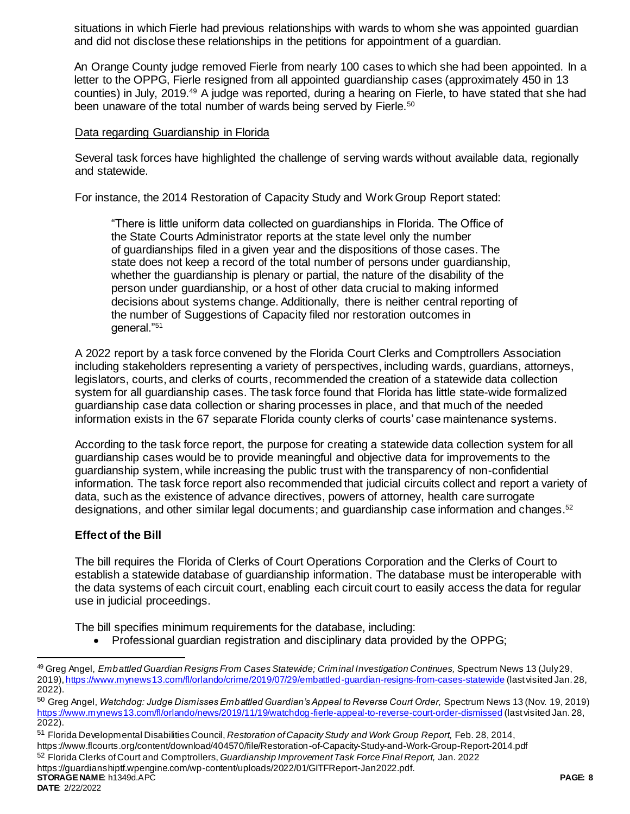situations in which Fierle had previous relationships with wards to whom she was appointed guardian and did not disclose these relationships in the petitions for appointment of a guardian.

An Orange County judge removed Fierle from nearly 100 cases to which she had been appointed. In a letter to the OPPG, Fierle resigned from all appointed guardianship cases (approximately 450 in 13 counties) in July, 2019.<sup>49</sup> A judge was reported, during a hearing on Fierle, to have stated that she had been unaware of the total number of wards being served by Fierle.<sup>50</sup>

#### Data regarding Guardianship in Florida

Several task forces have highlighted the challenge of serving wards without available data, regionally and statewide.

For instance, the 2014 Restoration of Capacity Study and Work Group Report stated:

"There is little uniform data collected on guardianships in Florida. The Office of the State Courts Administrator reports at the state level only the number of guardianships filed in a given year and the dispositions of those cases. The state does not keep a record of the total number of persons under guardianship, whether the guardianship is plenary or partial, the nature of the disability of the person under guardianship, or a host of other data crucial to making informed decisions about systems change. Additionally, there is neither central reporting of the number of Suggestions of Capacity filed nor restoration outcomes in general."<sup>51</sup>

A 2022 report by a task force convened by the Florida Court Clerks and Comptrollers Association including stakeholders representing a variety of perspectives, including wards, guardians, attorneys, legislators, courts, and clerks of courts, recommended the creation of a statewide data collection system for all guardianship cases. The task force found that Florida has little state-wide formalized guardianship case data collection or sharing processes in place, and that much of the needed information exists in the 67 separate Florida county clerks of courts' case maintenance systems.

According to the task force report, the purpose for creating a statewide data collection system for all guardianship cases would be to provide meaningful and objective data for improvements to the guardianship system, while increasing the public trust with the transparency of non-confidential information. The task force report also recommended that judicial circuits collect and report a variety of data, such as the existence of advance directives, powers of attorney, health care surrogate designations, and other similar legal documents; and guardianship case information and changes.<sup>52</sup>

## **Effect of the Bill**

The bill requires the Florida of Clerks of Court Operations Corporation and the Clerks of Court to establish a statewide database of guardianship information. The database must be interoperable with the data systems of each circuit court, enabling each circuit court to easily access the data for regular use in judicial proceedings.

The bill specifies minimum requirements for the database, including:

• Professional guardian registration and disciplinary data provided by the OPPG;

**STORAGE NAME**: h1349d.APC **PAGE: 8** https://guardianshiptf.wpengine.com/wp-content/uploads/2022/01/GITFReport-Jan2022.pdf.

l

<sup>49</sup> Greg Angel, *Embattled Guardian Resigns From Cases Statewide; Criminal Investigation Continues,* Spectrum News 13 (July 29, 2019)[, https://www.mynews13.com/fl/orlando/crime/2019/07/29/embattled-guardian-resigns-from-cases-statewide](https://www.mynews13.com/fl/orlando/crime/2019/07/29/embattled-guardian-resigns-from-cases-statewide) (last visited Jan. 28, 2022).

<sup>50</sup> Greg Angel, *Watchdog: Judge Dismisses Embattled Guardian's Appeal to Reverse Court Order,* Spectrum News 13 (Nov. 19, 2019) <https://www.mynews13.com/fl/orlando/news/2019/11/19/watchdog-fierle-appeal-to-reverse-court-order-dismissed> (last visited Jan. 28, 2022).

<sup>51</sup> Florida Developmental Disabilities Council, *Restoration of Capacity Study and Work Group Report,* Feb. 28, 2014, https://www.flcourts.org/content/download/404570/file/Restoration-of-Capacity-Study-and-Work-Group-Report-2014.pdf <sup>52</sup> Florida Clerks of Court and Comptrollers, *Guardianship Improvement Task Force Final Report,* Jan. 2022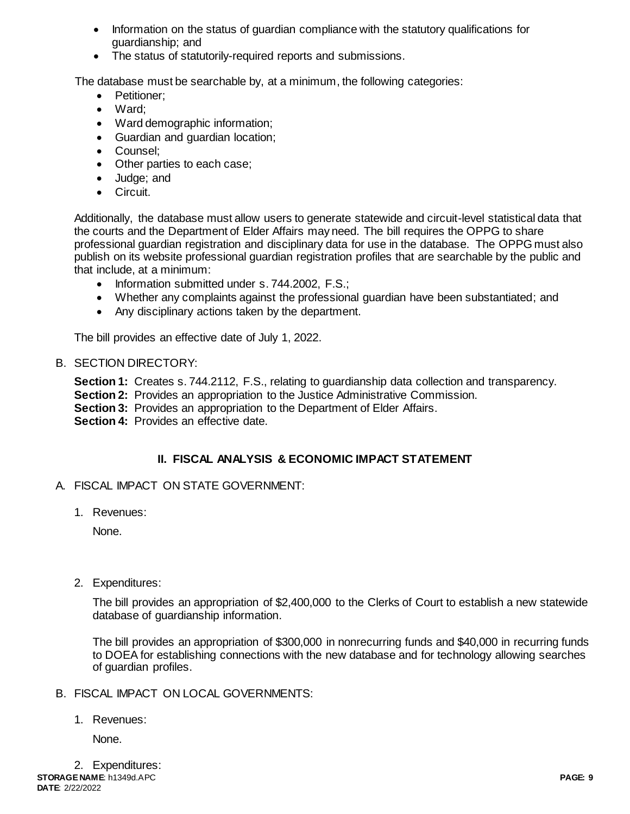- Information on the status of quardian compliance with the statutory qualifications for guardianship; and
- The status of statutorily-required reports and submissions.

The database must be searchable by, at a minimum, the following categories:

- Petitioner:
- Ward:
- Ward demographic information;
- Guardian and guardian location;
- Counsel:
- Other parties to each case;
- Judge; and
- Circuit.

Additionally, the database must allow users to generate statewide and circuit-level statistical data that the courts and the Department of Elder Affairs may need. The bill requires the OPPG to share professional guardian registration and disciplinary data for use in the database. The OPPG must also publish on its website professional guardian registration profiles that are searchable by the public and that include, at a minimum:

- Information submitted under s. 744.2002, F.S.;
- Whether any complaints against the professional guardian have been substantiated; and
- Any disciplinary actions taken by the department.

The bill provides an effective date of July 1, 2022.

# B. SECTION DIRECTORY:

**Section 1:** Creates s. 744.2112, F.S., relating to guardianship data collection and transparency.

- **Section 2:** Provides an appropriation to the Justice Administrative Commission.
- **Section 3:** Provides an appropriation to the Department of Elder Affairs.

**Section 4: Provides an effective date.** 

# **II. FISCAL ANALYSIS & ECONOMIC IMPACT STATEMENT**

- A. FISCAL IMPACT ON STATE GOVERNMENT:
	- 1. Revenues:

None.

2. Expenditures:

The bill provides an appropriation of \$2,400,000 to the Clerks of Court to establish a new statewide database of guardianship information.

The bill provides an appropriation of \$300,000 in nonrecurring funds and \$40,000 in recurring funds to DOEA for establishing connections with the new database and for technology allowing searches of guardian profiles.

- B. FISCAL IMPACT ON LOCAL GOVERNMENTS:
	- 1. Revenues:

None.